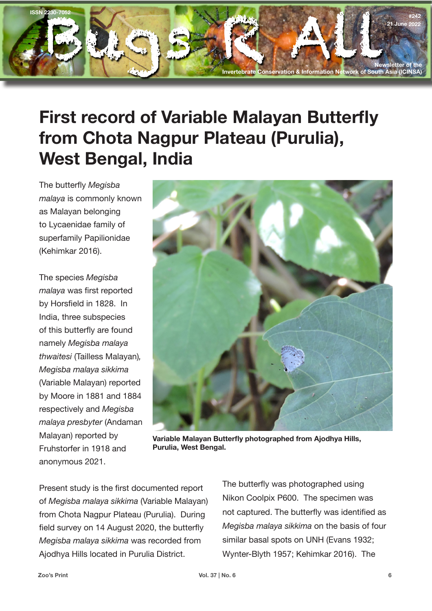

## **First record of Variable Malayan Butterfly from Chota Nagpur Plateau (Purulia), West Bengal, India**

The butterfly *Megisba malaya* is commonly known as Malayan belonging to Lycaenidae family of superfamily Papilionidae (Kehimkar 2016).

The species *Megisba malaya* was first reported by Horsfield in 1828. In India, three subspecies of this butterfly are found namely *Megisba malaya thwaitesi* (Tailless Malayan)*, Megisba malaya sikkima*  (Variable Malayan) reported by Moore in 1881 and 1884 respectively and *Megisba malaya presbyter* (Andaman Malayan) reported by Fruhstorfer in 1918 and anonymous 2021.



**Variable Malayan Butterfly photographed from Ajodhya Hills, Purulia, West Bengal.**

Present study is the first documented report of *Megisba malaya sikkima* (Variable Malayan) from Chota Nagpur Plateau (Purulia). During field survey on 14 August 2020, the butterfly *Megisba malaya sikkima* was recorded from Ajodhya Hills located in Purulia District.

The butterfly was photographed using Nikon Coolpix P600. The specimen was not captured. The butterfly was identified as *Megisba malaya sikkima* on the basis of four similar basal spots on UNH (Evans 1932; Wynter-Blyth 1957; Kehimkar 2016). The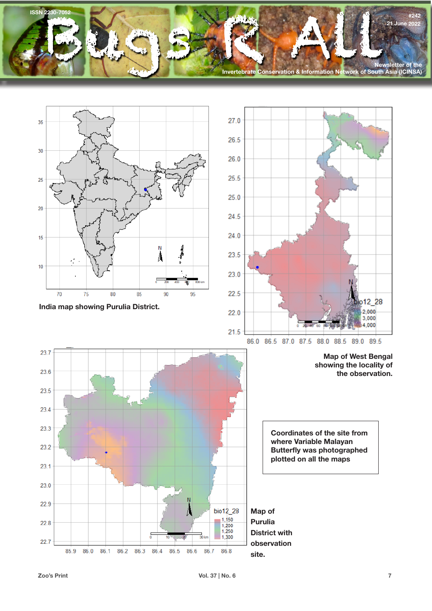